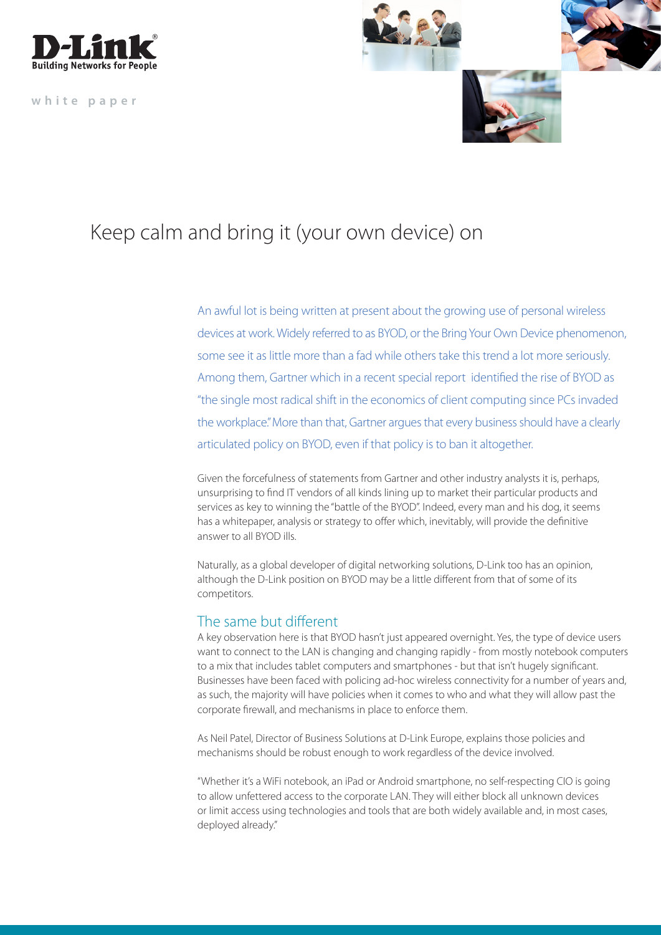

**white paper**



## Keep calm and bring it (your own device) on

An awful lot is being written at present about the growing use of personal wireless devices at work. Widely referred to as BYOD, or the Bring Your Own Device phenomenon, some see it as little more than a fad while others take this trend a lot more seriously. Among them, Gartner which in a recent special report identified the rise of BYOD as "the single most radical shift in the economics of client computing since PCs invaded the workplace." More than that, Gartner argues that every business should have a clearly articulated policy on BYOD, even if that policy is to ban it altogether.

Given the forcefulness of statements from Gartner and other industry analysts it is, perhaps, unsurprising to find IT vendors of all kinds lining up to market their particular products and services as key to winning the "battle of the BYOD". Indeed, every man and his dog, it seems has a whitepaper, analysis or strategy to offer which, inevitably, will provide the definitive answer to all BYOD ills.

Naturally, as a global developer of digital networking solutions, D-Link too has an opinion, although the D-Link position on BYOD may be a little different from that of some of its competitors.

## The same but different

A key observation here is that BYOD hasn't just appeared overnight. Yes, the type of device users want to connect to the LAN is changing and changing rapidly - from mostly notebook computers to a mix that includes tablet computers and smartphones - but that isn't hugely significant. Businesses have been faced with policing ad-hoc wireless connectivity for a number of years and, as such, the majority will have policies when it comes to who and what they will allow past the corporate firewall, and mechanisms in place to enforce them.

As Neil Patel, Director of Business Solutions at D-Link Europe, explains those policies and mechanisms should be robust enough to work regardless of the device involved.

"Whether it's a WiFi notebook, an iPad or Android smartphone, no self-respecting CIO is going to allow unfettered access to the corporate LAN. They will either block all unknown devices or limit access using technologies and tools that are both widely available and, in most cases, deployed already."